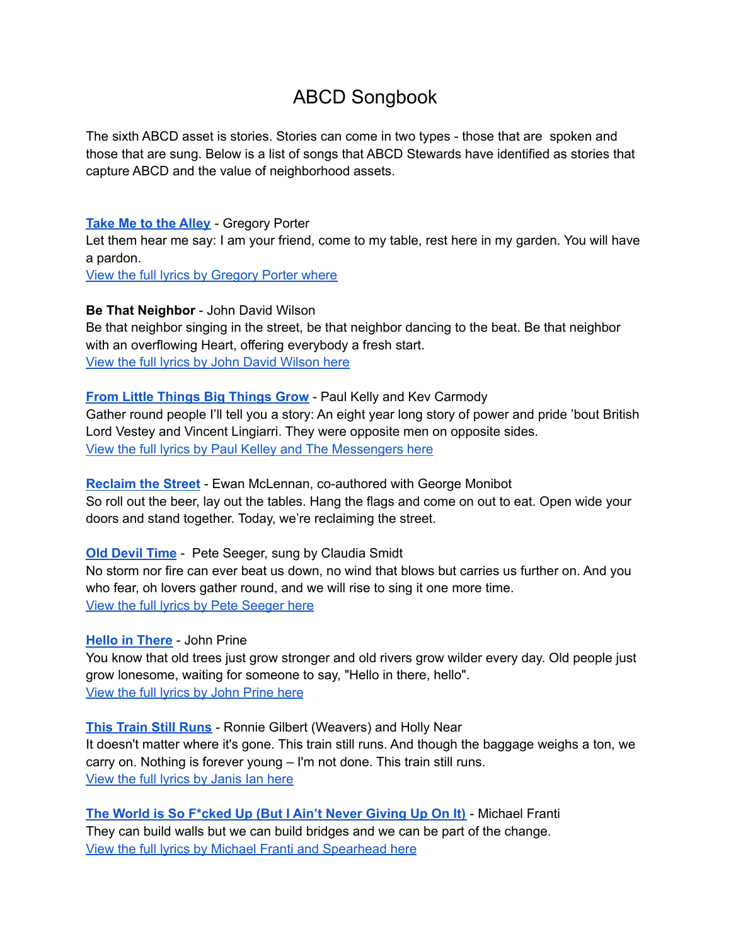# ABCD Songbook

The sixth ABCD asset is stories. Stories can come in two types - those that are spoken and those that are sung. Below is a list of songs that ABCD Stewards have identified as stories that capture ABCD and the value of neighborhood assets.

## **Take Me to the [Alley](https://www.youtube.com/watch?v=Qj5z4SbrH20)** - Gregory Porter

Let them hear me say: I am your friend, come to my table, rest here in my garden. You will have a pardon.

View the full lyrics by [Gregory](https://www.lyrics.com/lyric/32690705/Gregory+Porter/Take+Me+to+the+Alley) Porter where

**Be That Neighbor** - John David Wilson

Be that neighbor singing in the street, be that neighbor dancing to the beat. Be that neighbor with an overflowing Heart, offering everybody a fresh start. View the full lyrics by John David [Wilson](https://resources.depaul.edu/abcd-institute/publications/Documents/Be%20That%20Neighbor%20by%20John%20David%20Wilson.pdf) here

# **From Little [Things](https://youtu.be/6_ndC07C2qw) Big Things Grow** - Paul Kelly and Kev Carmody

Gather round people I'll tell you a story: An eight year long story of power and pride 'bout British Lord Vestey and Vincent Lingiarri. They were opposite men on opposite sides. View the full lyrics by Paul Kelley and The [Messengers](https://www.musixmatch.com/lyrics/Paul-Kelly-The-Messengers/From-Little-Things-Big-Things-Grow) here

**[Reclaim](https://www.youtube.com/watch?v=5Oz0bTqFVqg) the Street** - Ewan McLennan, co-authored with George Monibot So roll out the beer, lay out the tables. Hang the flags and come on out to eat. Open wide your doors and stand together. Today, we're reclaiming the street.

# **Old [Devil](https://www.youtube.com/watch?v=toL9pZEzQw4) Time** - Pete Seeger, sung by Claudia Smidt

No storm nor fire can ever beat us down, no wind that blows but carries us further on. And you who fear, oh lovers gather round, and we will rise to sing it one more time. View the full lyrics by Pete [Seeger](https://www.lyrics.com/lyric/2432632/Pete+Seeger/Old+Devil+Time) here

**Hello in [There](https://www.youtube.com/watch?v=OVhA01J0Zsg)** - John Prine

You know that old trees just grow stronger and old rivers grow wilder every day. Old people just grow lonesome, waiting for someone to say, "Hello in there, hello". View the full lyrics by John [Prine](https://www.lyrics.com/lyric/2853515/John+Prine/Hello+in+There) here

**This Train Still [Runs](https://www.youtube.com/watch?v=liC5t_e-zXc)** - Ronnie Gilbert (Weavers) and Holly Near It doesn't matter where it's gone. This train still runs. And though the baggage weighs a ton, we carry on. Nothing is forever young – I'm not done. This train still runs. View the full lyrics by [Janis](https://www.musixmatch.com/lyrics/Janis-Ian/This-Train-Still-Runs) Ian here

**The World is So [F\\*cked](https://www.youtube.com/watch?v=QrPQfNjeHlo&feature=youtu.be) Up (But I Ain't Never Giving Up On It)** - Michael Franti They can build walls but we can build bridges and we can be part of the change. View the full lyrics by Michael Franti and [Spearhead](https://www.musixmatch.com/lyrics/Michael-Franti-feat-Spearhead/This-World-is-so-Fucked-up-But-I-Ain-t-Ever-Giving-up-on-It) here